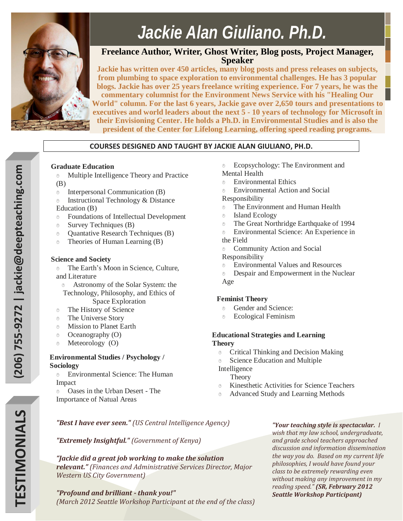

# *Jackie Alan Giuliano, Ph.D.*

## **Freelance Author, Writer, Ghost Writer, Blog posts, Project Manager, Speaker**

**Jackie has written over 450 articles, many blog posts and press releases on subjects, from plumbing to space exploration to environmental challenges. He has 3 popular blogs. Jackie has over 25 years freelance writing experience. For 7 years, he was the commentary columnist for the Environment News Service with his "Healing Our World" column. For the last 6 years, Jackie gave over 2,650 tours and presentations to executives and world leaders about the next 5 - 10 years of technology for Microsoft in their Envisioning Center. He holds a Ph.D. in Environmental Studies and is also the president of the Center for Lifelong Learning, offering speed reading programs.** 

## **COURSES DESIGNED AND TAUGHT BY JACKIE ALAN GIULIANO, PH.D.**

## **Graduate Education**

- Multiple Intelligence Theory and Practice (B)
- Interpersonal Communication (B)
- **Exercise 1** Instructional Technology & Distance Education (B)
- Foundations of Intellectual Development
- Survey Techniques (B)
- Quantative Research Techniques (B)
- Theories of Human Learning (B)

## **Science and Society**

- The Earth's Moon in Science, Culture, and Literature
	- Astronomy of the Solar System: the Technology, Philosophy, and Ethics of
		- Space Exploration
- The History of Science
- The Universe Story
- Mission to Planet Earth
- Oceanography (O)
- Meteorology (O)

## **Environmental Studies / Psychology / Sociology**

- Environmental Science: The Human Impact
- Oases in the Urban Desert The Importance of Natual Areas
- Ecopsychology: The Environment and
- Mental Health
- Environmental Ethics
- Environmental Action and Social Responsibility
- The Environment and Human Health
- Island Ecology
- The Great Northridge Earthquake of 1994
- Environmental Science: An Experience in
- the Field
- Community Action and Social

#### Responsibility

- Environmental Values and Resources
- Despair and Empowerment in the Nuclear Age

## **Feminist Theory**

- Gender and Science:
- Ecological Feminism

#### **Educational Strategies and Learning Theory**

- Critical Thinking and Decision Making
- Science Education and Multiple
- Intelligence
	- **Theory**
- Kinesthetic Activities for Science Teachers
- Advanced Study and Learning Methods

*"Best I have ever seen." (US Central Intelligence Agency)*

*"Extremely Insightful." (Government of Kenya)*

*"Jackie did a great job working to make the solution relevant." (Finances and Administrative Services Director, Major Western US City Government)*

## *"Profound and brilliant - thank you!"*

*(March 2012 Seattle Workshop Participant at the end of the class)*

*"Your teaching style is spectacular. I wish that my law school, undergraduate, and grade school teachers approached discussion and information dissemination the way you do. Based on my current life philosophies, I would have found your class to be extremely rewarding even without making any improvement in my reading speed." (SR, February 2012 Seattle Workshop Participant)*